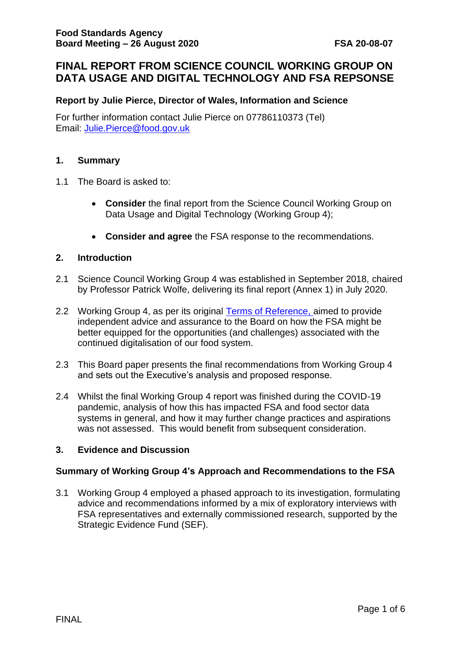## **FINAL REPORT FROM SCIENCE COUNCIL WORKING GROUP ON DATA USAGE AND DIGITAL TECHNOLOGY AND FSA REPSONSE**

#### **Report by Julie Pierce, Director of Wales, Information and Science**

For further information contact Julie Pierce on 07786110373 (Tel) Email: Julie.Pierce@food.gov.uk

#### **1. Summary**

- 1.1 The Board is asked to:
	- **Consider** the final report from the Science Council Working Group on Data Usage and Digital Technology (Working Group 4);
	- **Consider and agree** the FSA response to the recommendations.

#### **2. Introduction**

- 2.1 Science Council Working Group 4 was established in September 2018, chaired by Professor Patrick Wolfe, delivering its final report (Annex 1) in July 2020.
- 2.2 Working Group 4, as per its original [Terms of Reference,](https://science-council.food.gov.uk/sites/default/files/wg4tor.pdf) aimed to provide independent advice and assurance to the Board on how the FSA might be better equipped for the opportunities (and challenges) associated with the continued digitalisation of our food system.
- 2.3 This Board paper presents the final recommendations from Working Group 4 and sets out the Executive's analysis and proposed response.
- 2.4 Whilst the final Working Group 4 report was finished during the COVID-19 pandemic, analysis of how this has impacted FSA and food sector data systems in general, and how it may further change practices and aspirations was not assessed. This would benefit from subsequent consideration.

#### **3. Evidence and Discussion**

#### **Summary of Working Group 4's Approach and Recommendations to the FSA**

3.1 Working Group 4 employed a phased approach to its investigation, formulating advice and recommendations informed by a mix of exploratory interviews with FSA representatives and externally commissioned research, supported by the Strategic Evidence Fund (SEF).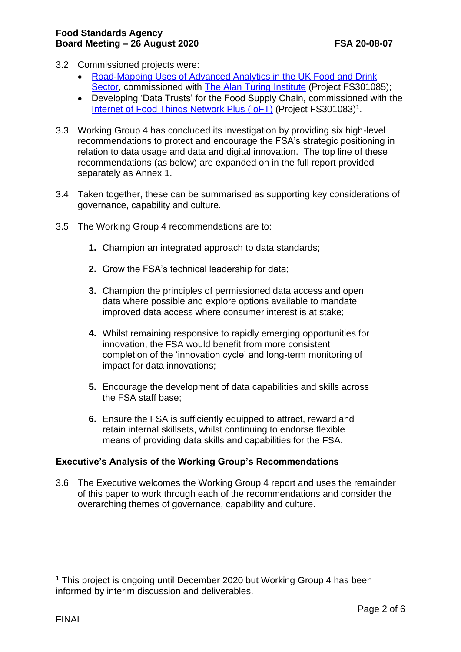- 3.2 Commissioned projects were:
	- [Road-Mapping Uses of Advanced Analytics in the UK Food and Drink](https://science-council.food.gov.uk/sites/default/files/appofadvancedanalyticsfinalreport.pdf)  [Sector,](https://science-council.food.gov.uk/sites/default/files/appofadvancedanalyticsfinalreport.pdf) commissioned with [The Alan Turing](https://www.turing.ac.uk/) Institute (Project FS301085);
	- Developing 'Data Trusts' for the Food Supply Chain, commissioned with the [Internet of Food Things Network Plus](https://www.foodchain.ac.uk/) (IoFT) (Project FS301083)<sup>1</sup>.
- 3.3 Working Group 4 has concluded its investigation by providing six high-level recommendations to protect and encourage the FSA's strategic positioning in relation to data usage and data and digital innovation. The top line of these recommendations (as below) are expanded on in the full report provided separately as Annex 1.
- 3.4 Taken together, these can be summarised as supporting key considerations of governance, capability and culture.
- 3.5 The Working Group 4 recommendations are to:
	- **1.** Champion an integrated approach to data standards;
	- **2.** Grow the FSA's technical leadership for data;
	- **3.** Champion the principles of permissioned data access and open data where possible and explore options available to mandate improved data access where consumer interest is at stake;
	- **4.** Whilst remaining responsive to rapidly emerging opportunities for innovation, the FSA would benefit from more consistent completion of the 'innovation cycle' and long-term monitoring of impact for data innovations;
	- **5.** Encourage the development of data capabilities and skills across the FSA staff base;
	- **6.** Ensure the FSA is sufficiently equipped to attract, reward and retain internal skillsets, whilst continuing to endorse flexible means of providing data skills and capabilities for the FSA.

## **Executive's Analysis of the Working Group's Recommendations**

3.6 The Executive welcomes the Working Group 4 report and uses the remainder of this paper to work through each of the recommendations and consider the overarching themes of governance, capability and culture.

<sup>&</sup>lt;sup>1</sup> This project is ongoing until December 2020 but Working Group 4 has been informed by interim discussion and deliverables.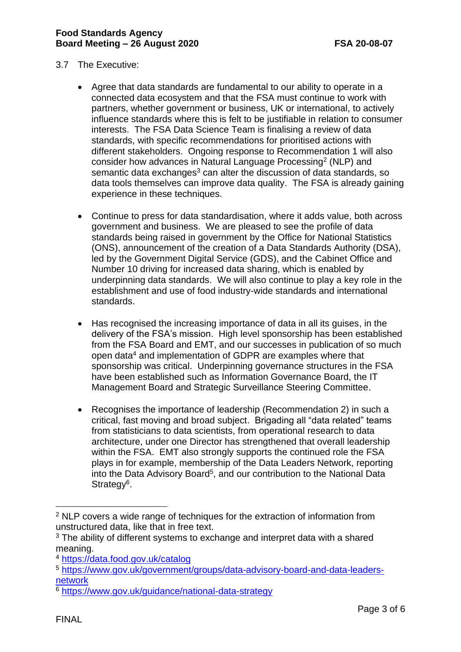- 3.7 The Executive:
	- Agree that data standards are fundamental to our ability to operate in a connected data ecosystem and that the FSA must continue to work with partners, whether government or business, UK or international, to actively influence standards where this is felt to be justifiable in relation to consumer interests. The FSA Data Science Team is finalising a review of data standards, with specific recommendations for prioritised actions with different stakeholders. Ongoing response to Recommendation 1 will also consider how advances in Natural Language Processing<sup>2</sup> (NLP) and semantic data exchanges<sup>3</sup> can alter the discussion of data standards, so data tools themselves can improve data quality. The FSA is already gaining experience in these techniques.
	- Continue to press for data standardisation, where it adds value, both across government and business. We are pleased to see the profile of data standards being raised in government by the Office for National Statistics (ONS), announcement of the creation of a Data Standards Authority (DSA), led by the Government Digital Service (GDS), and the Cabinet Office and Number 10 driving for increased data sharing, which is enabled by underpinning data standards. We will also continue to play a key role in the establishment and use of food industry-wide standards and international standards.
	- Has recognised the increasing importance of data in all its guises, in the delivery of the FSA's mission. High level sponsorship has been established from the FSA Board and EMT, and our successes in publication of so much open data<sup>4</sup> and implementation of GDPR are examples where that sponsorship was critical. Underpinning governance structures in the FSA have been established such as Information Governance Board, the IT Management Board and Strategic Surveillance Steering Committee.
	- Recognises the importance of leadership (Recommendation 2) in such a critical, fast moving and broad subject. Brigading all "data related" teams from statisticians to data scientists, from operational research to data architecture, under one Director has strengthened that overall leadership within the FSA. EMT also strongly supports the continued role the FSA plays in for example, membership of the Data Leaders Network, reporting into the Data Advisory Board<sup>5</sup>, and our contribution to the National Data Strategy<sup>6</sup>.

<sup>&</sup>lt;sup>2</sup> NLP covers a wide range of techniques for the extraction of information from unstructured data, like that in free text.

 $3$  The ability of different systems to exchange and interpret data with a shared meaning.

<sup>4</sup> <https://data.food.gov.uk/catalog>

<sup>5</sup> [https://www.gov.uk/government/groups/data-advisory-board-and-data-leaders](https://www.gov.uk/government/groups/data-advisory-board-and-data-leaders-network)[network](https://www.gov.uk/government/groups/data-advisory-board-and-data-leaders-network)

<sup>6</sup> <https://www.gov.uk/guidance/national-data-strategy>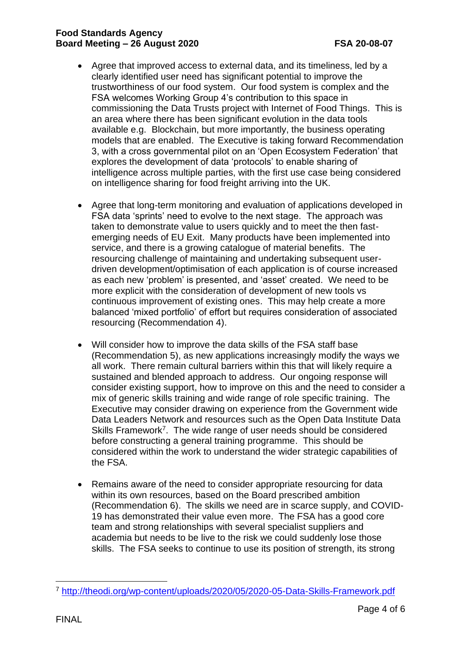#### **Food Standards Agency Board Meeting – 26 August 2020 FSA 20-08-07**

- Agree that improved access to external data, and its timeliness, led by a clearly identified user need has significant potential to improve the trustworthiness of our food system. Our food system is complex and the FSA welcomes Working Group 4's contribution to this space in commissioning the Data Trusts project with Internet of Food Things. This is an area where there has been significant evolution in the data tools available e.g. Blockchain, but more importantly, the business operating models that are enabled. The Executive is taking forward Recommendation 3, with a cross governmental pilot on an 'Open Ecosystem Federation' that explores the development of data 'protocols' to enable sharing of intelligence across multiple parties, with the first use case being considered on intelligence sharing for food freight arriving into the UK.
- Agree that long-term monitoring and evaluation of applications developed in FSA data 'sprints' need to evolve to the next stage. The approach was taken to demonstrate value to users quickly and to meet the then fastemerging needs of EU Exit. Many products have been implemented into service, and there is a growing catalogue of material benefits. The resourcing challenge of maintaining and undertaking subsequent userdriven development/optimisation of each application is of course increased as each new 'problem' is presented, and 'asset' created. We need to be more explicit with the consideration of development of new tools vs continuous improvement of existing ones. This may help create a more balanced 'mixed portfolio' of effort but requires consideration of associated resourcing (Recommendation 4).
- Will consider how to improve the data skills of the FSA staff base (Recommendation 5), as new applications increasingly modify the ways we all work. There remain cultural barriers within this that will likely require a sustained and blended approach to address. Our ongoing response will consider existing support, how to improve on this and the need to consider a mix of generic skills training and wide range of role specific training. The Executive may consider drawing on experience from the Government wide Data Leaders Network and resources such as the Open Data Institute Data Skills Framework<sup>7</sup>. The wide range of user needs should be considered before constructing a general training programme. This should be considered within the work to understand the wider strategic capabilities of the FSA.
- Remains aware of the need to consider appropriate resourcing for data within its own resources, based on the Board prescribed ambition (Recommendation 6). The skills we need are in scarce supply, and COVID-19 has demonstrated their value even more. The FSA has a good core team and strong relationships with several specialist suppliers and academia but needs to be live to the risk we could suddenly lose those skills. The FSA seeks to continue to use its position of strength, its strong

<sup>7</sup> <http://theodi.org/wp-content/uploads/2020/05/2020-05-Data-Skills-Framework.pdf>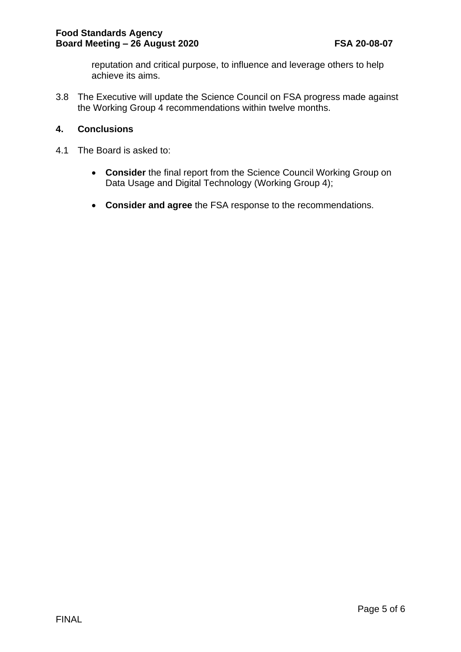reputation and critical purpose, to influence and leverage others to help achieve its aims.

3.8 The Executive will update the Science Council on FSA progress made against the Working Group 4 recommendations within twelve months.

### **4. Conclusions**

- 4.1 The Board is asked to:
	- **Consider** the final report from the Science Council Working Group on Data Usage and Digital Technology (Working Group 4);
	- **Consider and agree** the FSA response to the recommendations.